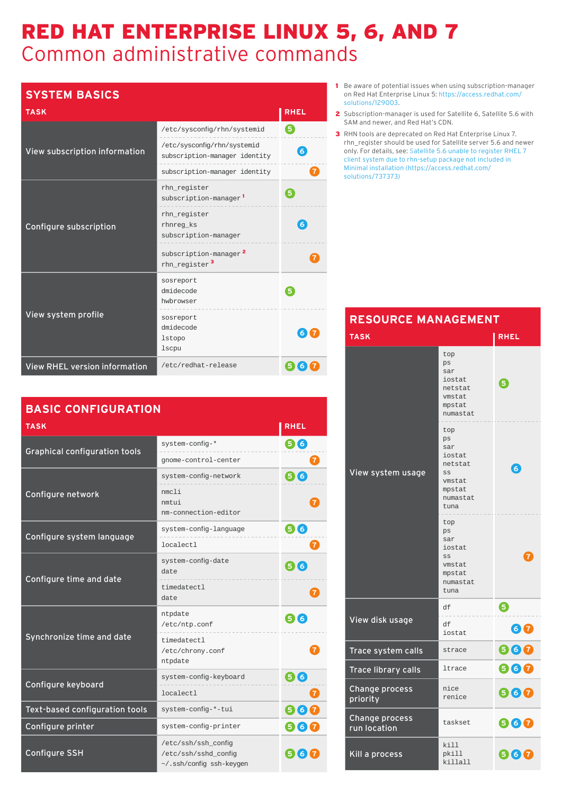## RED HAT ENTERPRISE LINUX 5, 6, AND 7 Common administrative commands

## **SYSTEM BASICS**

| <b>TASK</b>                          |                                                                | <b>RHEL</b>  |
|--------------------------------------|----------------------------------------------------------------|--------------|
|                                      | /etc/sysconfig/rhn/systemid                                    | 5            |
| View subscription information        | /etc/sysconfig/rhn/systemid<br>subscription-manager identity   | $\mathbf{6}$ |
|                                      | subscription-manager identity                                  |              |
|                                      | rhn_register<br>subscription-manager <sup>1</sup>              | 5            |
| Configure subscription               | rhn_register<br>rhnreg ks<br>subscription-manager              | 6            |
|                                      | subscription-manager <sup>2</sup><br>rhn_register <sup>3</sup> |              |
|                                      | sosreport<br>dmidecode<br>hwbrowser                            |              |
| View system profile                  | sosreport<br>dmidecode<br><b>lstopo</b><br><b>lscpu</b>        | 6)           |
| <b>View RHEL version information</b> | /etc/redhat-release                                            | 5<br>6       |

| <b>BASIC CONFIGURATION</b>           |                                                                         |                     |
|--------------------------------------|-------------------------------------------------------------------------|---------------------|
| <b>TASK</b>                          |                                                                         | <b>RHEL</b>         |
| <b>Graphical configuration tools</b> | system-config-*                                                         | 66                  |
|                                      | gnome-control-center                                                    |                     |
|                                      | system-config-network                                                   | 66                  |
| Configure network                    | nmcli<br>nmtui<br>nm-connection-editor                                  |                     |
| Configure system language            | system-config-language                                                  | 6<br>$\overline{6}$ |
|                                      | localectl                                                               |                     |
| Configure time and date              | system-config-date<br>date                                              | 66                  |
|                                      | timedatectl<br>date                                                     |                     |
|                                      | ntpdate<br>/etc/ntp.conf                                                | 6                   |
| Synchronize time and date            | timedatectl<br>/etc/chrony.conf<br>ntpdate                              |                     |
| Configure keyboard                   | system-config-keyboard                                                  | 66                  |
|                                      | localectl                                                               |                     |
| Text-based configuration tools       | system-config-*-tui                                                     | 66                  |
| Configure printer                    | system-config-printer                                                   | 6<br>67             |
| <b>Configure SSH</b>                 | /etc/ssh/ssh_config<br>/etc/ssh/sshd config<br>~/.ssh/config ssh-keygen | <b>6</b> I          |

- 1 Be aware of potential issues when using subscription-manager on Red Hat Enterprise Linux 5: https://access.redhat.com/ solutions/129003.
- 2 Subscription-manager is used for Satellite 6, Satellite 5.6 with SAM and newer, and Red Hat's CDN.
- 3 RHN tools are deprecated on Red Hat Enterprise Linux 7. rhn\_register should be used for Satellite server 5.6 and newer [only. For details, see: Satellite 5.6 unable to register RHEL 7](https://access.redhat.com/solutions/737373)  client system due to rhn-setup package not included in Minimal installation (https://access.redhat.com/ solutions/737373)

| <b>RESOURCE MANAGEMENT</b>     |                                                                                     |             |
|--------------------------------|-------------------------------------------------------------------------------------|-------------|
| <b>TASK</b>                    |                                                                                     | <b>RHEL</b> |
|                                | top<br>ps<br>sar<br>iostat<br>netstat<br>vmstat<br>mpstat<br>numastat               | 6           |
| View system usage              | top<br>ps<br>sar<br>iostat<br>netstat<br>SS<br>vmstat<br>mpstat<br>numastat<br>tuna | $\epsilon$  |
|                                | top<br>ps<br>sar<br>iostat<br>SS<br>vmstat<br>mpstat<br>numastat<br>tuna            | 7           |
|                                | df                                                                                  | ❺           |
| View disk usage                | df<br>iostat                                                                        | 60          |
| Trace system calls             | strace                                                                              | 660         |
| <b>Trace library calls</b>     | ltrace                                                                              | 660         |
| Change process<br>priority     | nice<br>renice                                                                      | 660         |
| Change process<br>run location | taskset                                                                             | 660         |
| Kill a process                 | kill<br>pkill<br>killall                                                            | 660         |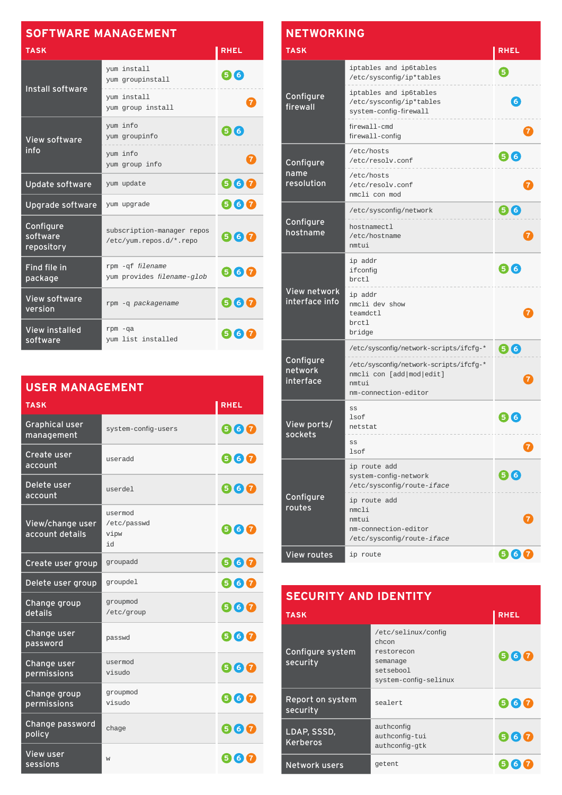| <b>SOFTWARE MANAGEMENT</b>          |                                                       |                |
|-------------------------------------|-------------------------------------------------------|----------------|
| <b>TASK</b>                         |                                                       | <b>RHEL</b>    |
| Install software                    | yum install<br>yum groupinstall                       | (516)          |
|                                     | yum install<br>yum group install                      | $\mathbf{7}$   |
| <b>View software</b>                | yum info<br>yum groupinfo                             | 56             |
| info                                | yum info<br>yum group info                            | $\overline{7}$ |
| <b>Update software</b>              | yum update                                            | 660            |
| Upgrade software                    | yum upgrade                                           | 960            |
| Configure<br>software<br>repository | subscription-manager repos<br>/etc/yum.repos.d/*.repo | 567            |
| Find file in<br>package             | rpm -qf filename<br>yum provides filename-glob        | 960            |
| <b>View software</b><br>version     | rpm -q packagename                                    | 660            |
| <b>View installed</b><br>software   | $rpm - qa$<br>yum list installed                      | 567            |

| <b>USER MANAGEMENT</b>              |                                      |             |
|-------------------------------------|--------------------------------------|-------------|
| <b>TASK</b>                         |                                      | <b>RHEL</b> |
| <b>Graphical user</b><br>management | system-config-users                  | 660         |
| Create user<br>account              | useradd                              | 660         |
| Delete user<br>account              | userdel                              | 567         |
| View/change user<br>account details | usermod<br>/etc/passwd<br>vipw<br>hi | 660         |
| Create user group                   | groupadd                             | 660         |
| Delete user group                   | groupdel                             | 960         |
| Change group<br>details             | groupmod<br>/etc/group               | 660         |
| Change user<br>password             | passwd                               | 660         |
| Change user<br>permissions          | usermod<br>visudo                    | 660         |
| Change group<br>permissions         | groupmod<br>visudo                   | 660         |
| Change password<br>policy           | chage                                | 660         |
| <b>View user</b><br>sessions        | W                                    | 567         |

| <b>NETWORKING</b>                 |                                                                                                     |                |
|-----------------------------------|-----------------------------------------------------------------------------------------------------|----------------|
| <b>TASK</b>                       |                                                                                                     | <b>RHEL</b>    |
|                                   | iptables and ip6tables<br>/etc/sysconfig/ip*tables                                                  | 5              |
| Configure<br>firewall             | iptables and ip6tables<br>/etc/sysconfig/ip*tables<br>system-config-firewall                        | $\overline{6}$ |
|                                   | firewall-cmd<br>firewall-config                                                                     |                |
| Configure                         | /etc/hosts<br>/etc/resolv.conf                                                                      | 56             |
| name<br>resolution                | /etc/hosts<br>/etc/resolv.conf<br>nmcli con mod                                                     |                |
|                                   | /etc/sysconfig/network                                                                              | 56             |
| Configure<br>hostname             | hostnamectl<br>/etc/hostname<br>nmtui                                                               |                |
|                                   | ip addr<br>ifconfig<br>brctl                                                                        | 5I6            |
| View network<br>interface info    | ip addr<br>nmcli dev show<br>teamdctl<br>brctl<br>bridge                                            |                |
|                                   | /etc/sysconfig/network-scripts/ifcfg-*                                                              | 66             |
| Configure<br>network<br>interface | /etc/sysconfig/network-scripts/ifcfg-*<br>nmcli con [add mod edit]<br>nmtui<br>nm-connection-editor |                |
| View ports/                       | SS<br>lsof<br>netstat                                                                               | 5)<br>6)       |
| sockets                           | SS<br>lsof                                                                                          |                |
|                                   | ip route add<br>system-config-network<br>/etc/sysconfig/route-iface                                 | 56             |
| Configure<br>routes               | ip route add<br>nmcli<br>nmtui<br>nm-connection-editor<br>/etc/sysconfig/route-iface                |                |
| <b>View routes</b>                | ip route                                                                                            | 667            |

| <b>SECURITY AND IDENTITY</b>   |                                                                                              |             |  |
|--------------------------------|----------------------------------------------------------------------------------------------|-------------|--|
| <b>TASK</b>                    |                                                                                              | <b>RHEL</b> |  |
| Configure system<br>security   | /etc/selinux/config<br>chcon<br>restorecon<br>semanage<br>setsebool<br>system-config-selinux | 567         |  |
| Report on system<br>security   | sealert                                                                                      | 667         |  |
| LDAP, SSSD,<br><b>Kerberos</b> | authconfig<br>authconfig-tui<br>authconfig-gtk                                               | 567         |  |
| Network users                  | getent                                                                                       |             |  |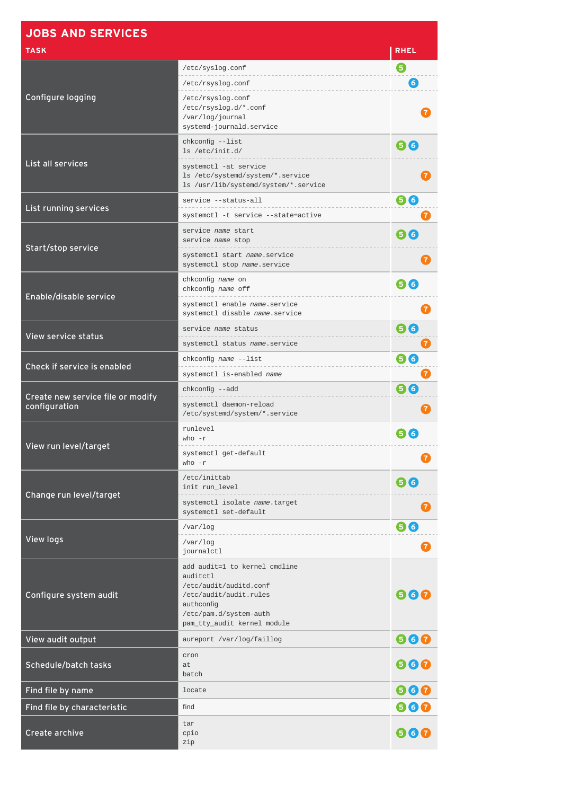| <b>JOBS AND SERVICES</b>          |                                                                                                                                                                      |              |
|-----------------------------------|----------------------------------------------------------------------------------------------------------------------------------------------------------------------|--------------|
| <b>TASK</b>                       |                                                                                                                                                                      | <b>RHEL</b>  |
|                                   | /etc/syslog.conf                                                                                                                                                     | 6            |
|                                   | /etc/rsyslog.conf                                                                                                                                                    | 6            |
| Configure logging                 | /etc/rsyslog.conf<br>/etc/rsyslog.d/*.conf<br>/var/log/journal<br>systemd-journald.service                                                                           |              |
|                                   | chkconfig --list<br>1s /etc/init.d/                                                                                                                                  | 66           |
| List all services                 | systemctl -at service<br>1s /etc/systemd/system/*.service<br>ls /usr/lib/systemd/system/*.service                                                                    |              |
| List running services             | service --status-all                                                                                                                                                 | 66           |
|                                   | systemctl -t service --state=active                                                                                                                                  |              |
| Start/stop service                | service name start<br>service name stop                                                                                                                              | 66           |
|                                   | systemctl start name.service<br>systemctl stop name.service                                                                                                          |              |
| Enable/disable service            | chkconfig name on<br>chkconfig name off                                                                                                                              | 66           |
|                                   | systemctl enable name.service<br>systemctl disable name.service                                                                                                      |              |
| View service status               | service name status                                                                                                                                                  | 66           |
|                                   | systemctl status name.service                                                                                                                                        |              |
| Check if service is enabled       | chkconfig name --list                                                                                                                                                | 66           |
|                                   | systemctl is-enabled name                                                                                                                                            | 7            |
| Create new service file or modify | chkconfig --add<br>systemctl daemon-reload                                                                                                                           | 66           |
| configuration                     | /etc/systemd/system/*.service                                                                                                                                        |              |
|                                   | runlevel<br>$who - r$                                                                                                                                                | 516          |
| View run level/target             | systemctl get-default<br>$who - r$                                                                                                                                   |              |
|                                   | /etc/inittab<br>init run_level                                                                                                                                       | 66           |
| Change run level/target           | systemctl isolate name.target<br>systemctl set-default                                                                                                               | $\mathbf{7}$ |
|                                   | /var/log                                                                                                                                                             | 66           |
| View logs                         | $\sqrt{var/log}$<br>journalctl                                                                                                                                       |              |
| Configure system audit            | add audit=1 to kernel cmdline<br>auditctl<br>/etc/audit/auditd.conf<br>/etc/audit/audit.rules<br>authconfig<br>/etc/pam.d/system-auth<br>pam_tty_audit kernel module | 660          |
| View audit output                 | aureport /var/log/faillog                                                                                                                                            | 660          |
| Schedule/batch tasks              | cron<br>at<br>batch                                                                                                                                                  | 660          |
| Find file by name                 | locate                                                                                                                                                               | 660          |
| Find file by characteristic       | find                                                                                                                                                                 | 660          |
| Create archive                    | tar<br>cpio<br>zip                                                                                                                                                   | 660          |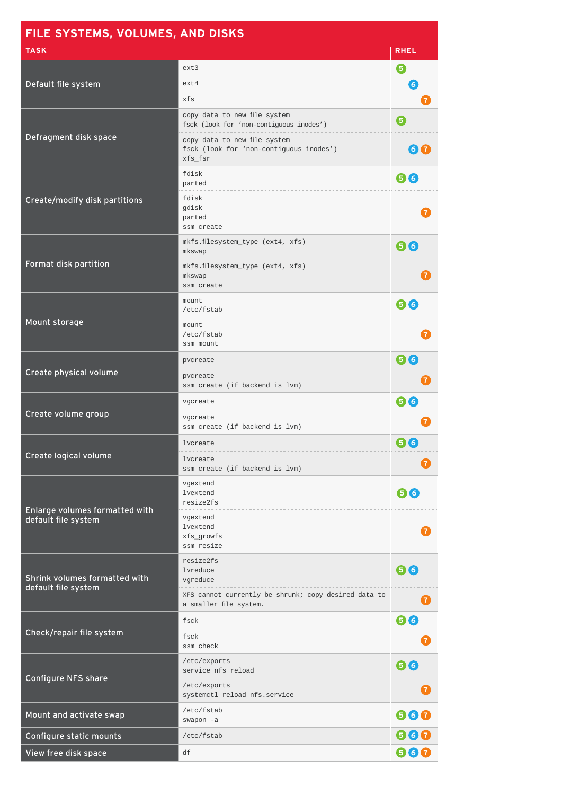| FILE SYSTEMS, VOLUMES, AND DISKS                      |                                                                                    |              |
|-------------------------------------------------------|------------------------------------------------------------------------------------|--------------|
| <b>TASK</b>                                           |                                                                                    | <b>RHEL</b>  |
| Default file system                                   | ext3<br>ext4<br>xfs                                                                | ❺<br>6       |
|                                                       | copy data to new file system<br>fsck (look for 'non-contiguous inodes')            | 7<br>❺       |
| Defragment disk space                                 | copy data to new file system<br>fsck (look for 'non-contiguous inodes')<br>xfs fsr | 6(7)         |
|                                                       | fdisk<br>parted                                                                    | 66           |
| Create/modify disk partitions                         | fdisk<br>gdisk<br>parted<br>ssm create                                             |              |
| Format disk partition                                 | mkfs.filesystem_type (ext4, xfs)<br>mkswap<br>mkfs.filesystem_type (ext4, xfs)     | 66           |
|                                                       | mkswap<br>ssm create                                                               |              |
|                                                       | mount<br>/etc/fstab                                                                | 66           |
| Mount storage                                         | mount<br>/etc/fstab<br>ssm mount                                                   |              |
| Create physical volume                                | pvcreate<br>pvcreate<br>ssm create (if backend is lvm)                             | 66           |
|                                                       | vgcreate                                                                           | 66           |
| Create volume group                                   | vgcreate<br>ssm create (if backend is lvm)                                         |              |
|                                                       | lvcreate                                                                           | 56           |
| Create logical volume                                 | lvcreate<br>ssm create (if backend is lvm)                                         |              |
| Enlarge volumes formatted with<br>default file system | vgextend<br>lvextend<br>resize2fs                                                  | 66           |
|                                                       | vgextend<br>lvextend<br>xfs_growfs<br>ssm resize                                   |              |
| Shrink volumes formatted with                         | resize2fs<br>lvreduce<br>vgreduce                                                  | 66           |
| default file system                                   | XFS cannot currently be shrunk; copy desired data to<br>a smaller file system.     | $\mathbf{7}$ |
|                                                       | fsck                                                                               | 66           |
| Check/repair file system                              | fsck<br>ssm check                                                                  |              |
| <b>Configure NFS share</b>                            | /etc/exports<br>service nfs reload                                                 | 66           |
|                                                       | /etc/exports<br>systemctl reload nfs.service                                       |              |
| Mount and activate swap                               | /etc/fstab<br>swapon -a                                                            | 660          |
| Configure static mounts                               | /etc/fstab                                                                         | 660          |
| View free disk space                                  | df                                                                                 | 660          |